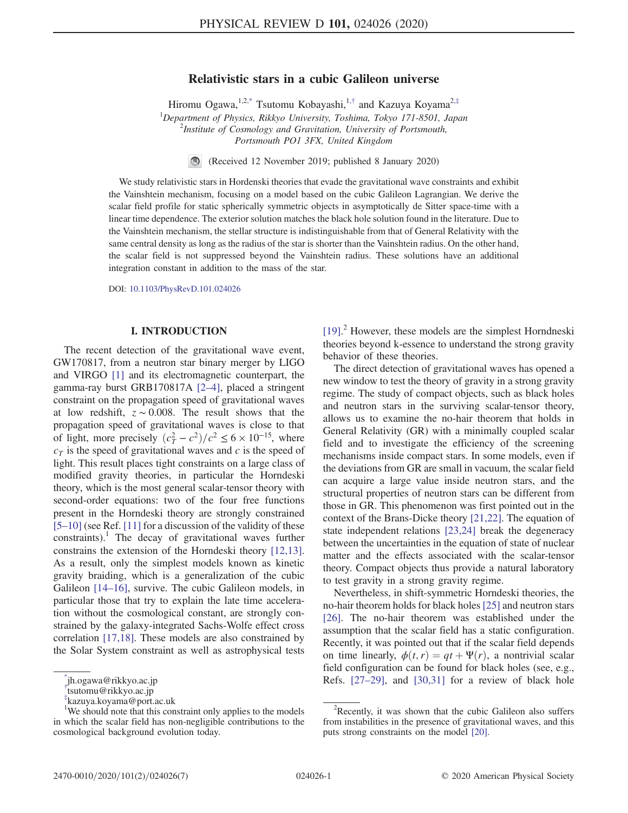# Relativistic stars in a cubic Galileon universe

Hiromu Ogawa,  $1,2,4$ <sup>\*</sup> Tsutomu Kobayashi,  $1,4$ <sup>[†](#page-0-1)</sup> and Kazuya Koyama<sup>2,[‡](#page-0-2)</sup>

<sup>1</sup>Department of Physics, Rikkyo University, Toshima, Tokyo 171-8501, Japan <sup>2</sup>Institute of Cognology and Cagnitation, University of Pontaneuth <sup>2</sup>Institute of Cosmology and Gravitation, University of Portsmouth, Portsmouth PO1 3FX, United Kingdom

> $\bigcirc$ (Received 12 November 2019; published 8 January 2020)

<span id="page-0-3"></span>We study relativistic stars in Hordenski theories that evade the gravitational wave constraints and exhibit the Vainshtein mechanism, focusing on a model based on the cubic Galileon Lagrangian. We derive the scalar field profile for static spherically symmetric objects in asymptotically de Sitter space-time with a linear time dependence. The exterior solution matches the black hole solution found in the literature. Due to the Vainshtein mechanism, the stellar structure is indistinguishable from that of General Relativity with the same central density as long as the radius of the star is shorter than the Vainshtein radius. On the other hand, the scalar field is not suppressed beyond the Vainshtein radius. These solutions have an additional integration constant in addition to the mass of the star.

DOI: [10.1103/PhysRevD.101.024026](https://doi.org/10.1103/PhysRevD.101.024026)

## I. INTRODUCTION

The recent detection of the gravitational wave event, GW170817, from a neutron star binary merger by LIGO and VIRGO [\[1\]](#page-5-0) and its electromagnetic counterpart, the gamma-ray burst GRB170817A [2–[4\],](#page-5-1) placed a stringent constraint on the propagation speed of gravitational waves at low redshift,  $z \sim 0.008$ . The result shows that the propagation speed of gravitational waves is close to that of light, more precisely  $(c_T^2 - c^2)/c^2 \le 6 \times 10^{-15}$ , where  $c<sub>T</sub>$  is the speed of gravitational waves and c is the speed of light. This result places tight constraints on a large class of modified gravity theories, in particular the Horndeski theory, which is the most general scalar-tensor theory with second-order equations: two of the four free functions present in the Horndeski theory are strongly constrained [5–[10\]](#page-5-2) (see Ref. [\[11\]](#page-6-0) for a discussion of the validity of these constraints).<sup>1</sup> The decay of gravitational waves further constrains the extension of the Horndeski theory [\[12,13\]](#page-6-1). As a result, only the simplest models known as kinetic gravity braiding, which is a generalization of the cubic Galileon [\[14](#page-6-2)–16], survive. The cubic Galileon models, in particular those that try to explain the late time acceleration without the cosmological constant, are strongly constrained by the galaxy-integrated Sachs-Wolfe effect cross correlation [\[17,18\].](#page-6-3) These models are also constrained by the Solar System constraint as well as astrophysical tests

[\[19\]](#page-6-4).<sup>2</sup> However, these models are the simplest Horndneski theories beyond k-essence to understand the strong gravity behavior of these theories.

The direct detection of gravitational waves has opened a new window to test the theory of gravity in a strong gravity regime. The study of compact objects, such as black holes and neutron stars in the surviving scalar-tensor theory, allows us to examine the no-hair theorem that holds in General Relativity (GR) with a minimally coupled scalar field and to investigate the efficiency of the screening mechanisms inside compact stars. In some models, even if the deviations from GR are small in vacuum, the scalar field can acquire a large value inside neutron stars, and the structural properties of neutron stars can be different from those in GR. This phenomenon was first pointed out in the context of the Brans-Dicke theory [\[21,22\]](#page-6-5). The equation of state independent relations [\[23,24\]](#page-6-6) break the degeneracy between the uncertainties in the equation of state of nuclear matter and the effects associated with the scalar-tensor theory. Compact objects thus provide a natural laboratory to test gravity in a strong gravity regime.

Nevertheless, in shift-symmetric Horndeski theories, the no-hair theorem holds for black holes [\[25\]](#page-6-7) and neutron stars [\[26\]](#page-6-8). The no-hair theorem was established under the assumption that the scalar field has a static configuration. Recently, it was pointed out that if the scalar field depends on time linearly,  $\phi(t, r) = qt + \Psi(r)$ , a nontrivial scalar field configuration can be found for black holes (see, e.g., Refs.  $[27-29]$  $[27-29]$ , and  $[30,31]$  for a review of black hole

<span id="page-0-0"></span>jh.ogawa@rikkyo.ac.jp

<span id="page-0-1"></span>[<sup>†</sup>](#page-0-3) tsutomu@rikkyo.ac.jp

<span id="page-0-2"></span>[<sup>‡</sup>](#page-0-3) kazuya.koyama@port.ac.uk

<sup>&</sup>lt;sup>1</sup>We should note that this constraint only applies to the models in which the scalar field has non-negligible contributions to the cosmological background evolution today.

 $2$ Recently, it was shown that the cubic Galileon also suffers from instabilities in the presence of gravitational waves, and this puts strong constraints on the model [\[20\]](#page-6-11).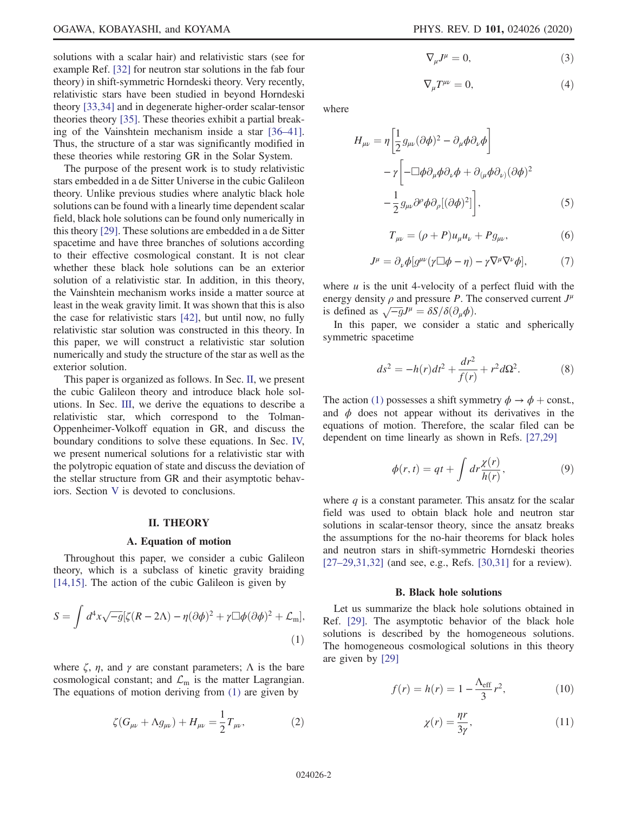solutions with a scalar hair) and relativistic stars (see for example Ref. [\[32\]](#page-6-12) for neutron star solutions in the fab four theory) in shift-symmetric Horndeski theory. Very recently, relativistic stars have been studied in beyond Horndeski theory [\[33,34\]](#page-6-13) and in degenerate higher-order scalar-tensor theories theory [\[35\]](#page-6-14). These theories exhibit a partial breaking of the Vainshtein mechanism inside a star [\[36](#page-6-15)–41]. Thus, the structure of a star was significantly modified in these theories while restoring GR in the Solar System.

The purpose of the present work is to study relativistic stars embedded in a de Sitter Universe in the cubic Galileon theory. Unlike previous studies where analytic black hole solutions can be found with a linearly time dependent scalar field, black hole solutions can be found only numerically in this theory [\[29\]](#page-6-16). These solutions are embedded in a de Sitter spacetime and have three branches of solutions according to their effective cosmological constant. It is not clear whether these black hole solutions can be an exterior solution of a relativistic star. In addition, in this theory, the Vainshtein mechanism works inside a matter source at least in the weak gravity limit. It was shown that this is also the case for relativistic stars [\[42\]](#page-6-17), but until now, no fully relativistic star solution was constructed in this theory. In this paper, we will construct a relativistic star solution numerically and study the structure of the star as well as the exterior solution.

This paper is organized as follows. In Sec. [II](#page-1-0), we present the cubic Galileon theory and introduce black hole solutions. In Sec. [III,](#page-2-0) we derive the equations to describe a relativistic star, which correspond to the Tolman-Oppenheimer-Volkoff equation in GR, and discuss the boundary conditions to solve these equations. In Sec. [IV,](#page-3-0) we present numerical solutions for a relativistic star with the polytropic equation of state and discuss the deviation of the stellar structure from GR and their asymptotic behaviors. Section [V](#page-5-3) is devoted to conclusions.

### II. THEORY

## A. Equation of motion

<span id="page-1-1"></span><span id="page-1-0"></span>Throughout this paper, we consider a cubic Galileon theory, which is a subclass of kinetic gravity braiding [\[14,15\]](#page-6-2). The action of the cubic Galileon is given by

$$
S = \int d^4x \sqrt{-g} [\zeta (R - 2\Lambda) - \eta (\partial \phi)^2 + \gamma \Box \phi (\partial \phi)^2 + \mathcal{L}_{\text{m}}],
$$
\n(1)

<span id="page-1-5"></span>where  $\zeta$ ,  $\eta$ , and  $\gamma$  are constant parameters;  $\Lambda$  is the bare cosmological constant; and  $\mathcal{L}_{m}$  is the matter Lagrangian. The equations of motion deriving from [\(1\)](#page-1-1) are given by

$$
\zeta(G_{\mu\nu} + \Lambda g_{\mu\nu}) + H_{\mu\nu} = \frac{1}{2} T_{\mu\nu},
$$
 (2)

$$
\nabla_{\mu}J^{\mu} = 0, \tag{3}
$$

$$
\nabla_{\mu}T^{\mu\nu} = 0,\tag{4}
$$

where

$$
H_{\mu\nu} = \eta \left[ \frac{1}{2} g_{\mu\nu} (\partial \phi)^2 - \partial_{\mu} \phi \partial_{\nu} \phi \right]
$$

$$
- \gamma \left[ -\Box \phi \partial_{\mu} \phi \partial_{\nu} \phi + \partial_{(\mu} \phi \partial_{\nu)} (\partial \phi)^2 - \frac{1}{2} g_{\mu\nu} \partial^{\rho} \phi \partial_{\rho} [(\partial \phi)^2] \right], \tag{5}
$$

$$
T_{\mu\nu} = (\rho + P)u_{\mu}u_{\nu} + P g_{\mu\nu}, \tag{6}
$$

<span id="page-1-6"></span>
$$
J^{\mu} = \partial_{\nu} \phi [g^{\mu\nu} (\gamma \Box \phi - \eta) - \gamma \nabla^{\mu} \nabla^{\nu} \phi], \tag{7}
$$

where  $u$  is the unit 4-velocity of a perfect fluid with the energy density  $\rho$  and pressure P. The conserved current  $J^{\mu}$ is defined as  $\sqrt{-g}J^{\mu} = \delta S/\delta(\partial_{\mu}\phi)$ .

<span id="page-1-2"></span>In this paper, we consider a static and spherically symmetric spacetime

$$
ds^{2} = -h(r)dt^{2} + \frac{dr^{2}}{f(r)} + r^{2}d\Omega^{2}.
$$
 (8)

<span id="page-1-3"></span>The action [\(1\)](#page-1-1) possesses a shift symmetry  $\phi \rightarrow \phi + \text{const.}$ , and  $\phi$  does not appear without its derivatives in the equations of motion. Therefore, the scalar filed can be dependent on time linearly as shown in Refs. [\[27,29\]](#page-6-9)

$$
\phi(r,t) = qt + \int dr \frac{\chi(r)}{h(r)},\tag{9}
$$

where  $q$  is a constant parameter. This ansatz for the scalar field was used to obtain black hole and neutron star solutions in scalar-tensor theory, since the ansatz breaks the assumptions for the no-hair theorems for black holes and neutron stars in shift-symmetric Horndeski theories [27–[29,31,32\]](#page-6-9) (and see, e.g., Refs. [\[30,31\]](#page-6-10) for a review).

### B. Black hole solutions

<span id="page-1-4"></span>Let us summarize the black hole solutions obtained in Ref. [\[29\].](#page-6-16) The asymptotic behavior of the black hole solutions is described by the homogeneous solutions. The homogeneous cosmological solutions in this theory are given by [\[29\]](#page-6-16)

$$
f(r) = h(r) = 1 - \frac{\Lambda_{\text{eff}}}{3}r^2,
$$
 (10)

$$
\chi(r) = \frac{\eta r}{3\gamma},\tag{11}
$$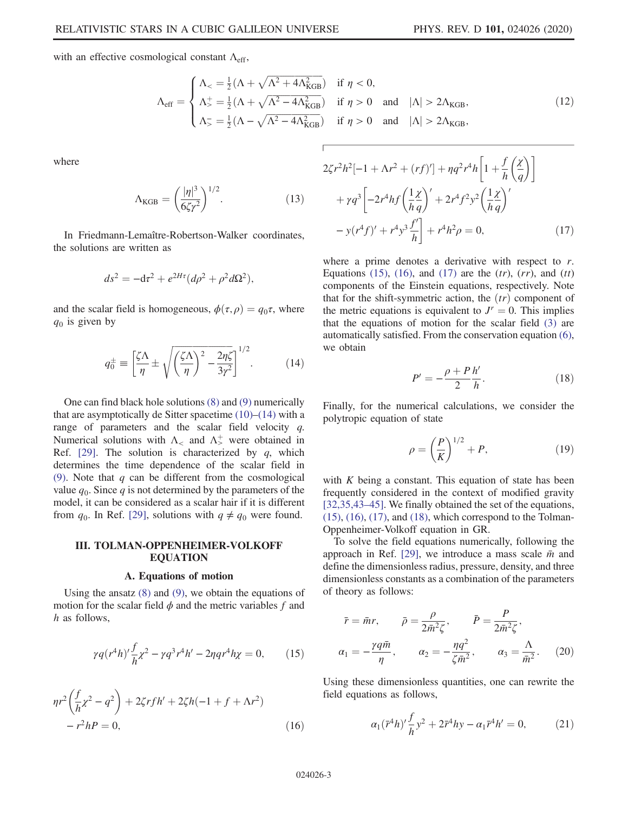with an effective cosmological constant  $\Lambda_{\text{eff}}$ ,

$$
\Lambda_{\text{eff}} = \begin{cases}\n\Lambda_{<} = \frac{1}{2} (\Lambda + \sqrt{\Lambda^2 + 4\Lambda_{\text{KGB}}^2}) & \text{if } \eta < 0, \\
\Lambda_{\text{eff}}^+ = \frac{1}{2} (\Lambda + \sqrt{\Lambda^2 - 4\Lambda_{\text{KGB}}^2}) & \text{if } \eta > 0 \quad \text{and} \quad |\Lambda| > 2\Lambda_{\text{KGB}}, \\
\Lambda_{\text{F}}^- = \frac{1}{2} (\Lambda - \sqrt{\Lambda^2 - 4\Lambda_{\text{KGB}}^2}) & \text{if } \eta > 0 \quad \text{and} \quad |\Lambda| > 2\Lambda_{\text{KGB}},\n\end{cases} \tag{12}
$$

where

$$
\Lambda_{\text{KGB}} = \left(\frac{|\eta|^3}{6\zeta\gamma^2}\right)^{1/2}.\tag{13}
$$

In Friedmann-Lemaître-Robertson-Walker coordinates, the solutions are written as

$$
ds^2 = -\mathrm{d}\tau^2 + e^{2H\tau}(d\rho^2 + \rho^2 d\Omega^2),
$$

<span id="page-2-1"></span>and the scalar field is homogeneous,  $\phi(\tau, \rho) = q_0 \tau$ , where  $q_0$  is given by

$$
q_0^{\pm} \equiv \left[\frac{\zeta \Lambda}{\eta} \pm \sqrt{\left(\frac{\zeta \Lambda}{\eta}\right)^2 - \frac{2\eta \zeta}{3\gamma^2}}\right]^{1/2}.
$$
 (14)

One can find black hole solutions [\(8\)](#page-1-2) and [\(9\)](#page-1-3) numerically that are asymptotically de Sitter spacetime  $(10)$ – $(14)$  with a range of parameters and the scalar field velocity  $q$ . Numerical solutions with  $\Lambda_{\leq}$  and  $\Lambda_{\geq}^{+}$  were obtained in Ref.  $[29]$ . The solution is characterized by q, which determines the time dependence of the scalar field in [\(9\)](#page-1-3). Note that  $q$  can be different from the cosmological value  $q_0$ . Since q is not determined by the parameters of the model, it can be considered as a scalar hair if it is different from  $q_0$ . In Ref. [\[29\],](#page-6-16) solutions with  $q \neq q_0$  were found.

## <span id="page-2-0"></span>III. TOLMAN-OPPENHEIMER-VOLKOFF **EQUATION**

## A. Equations of motion

<span id="page-2-3"></span><span id="page-2-2"></span>Using the ansatz [\(8\)](#page-1-2) and [\(9\)](#page-1-3), we obtain the equations of motion for the scalar field  $\phi$  and the metric variables f and h as follows.

$$
\gamma q(r^4 h)' \frac{f}{h} \chi^2 - \gamma q^3 r^4 h' - 2\eta q r^4 h \chi = 0, \qquad (15)
$$

<span id="page-2-4"></span>
$$
\eta r^2 \left(\frac{f}{h} \chi^2 - q^2\right) + 2\zeta r f h' + 2\zeta h (-1 + f + \Lambda r^2) - r^2 h P = 0,
$$
\n(16)

$$
\frac{2\zeta_{\text{GB}}^2}{\text{if } \eta > 0 \quad \text{and} \quad |\Lambda| > 2\Lambda_{\text{KGB}},}
$$
\n
$$
2\zeta r^2 h^2 [-1 + \Lambda r^2 + (rf)'] + \eta q^2 r^4 h \left[1 + \frac{f}{h} \left(\frac{\chi}{q}\right)\right]
$$
\n
$$
+ \gamma q^3 \left[-2r^4 h f \left(\frac{1 \chi}{h q}\right)' + 2r^4 f^2 y^2 \left(\frac{1 \chi}{h q}\right)'
$$

$$
[hq]^{-2} \left[2m \frac{h}{h}q\right]
$$
  
- y(r<sup>4</sup>f)' + r<sup>4</sup>y<sup>3</sup>  $\frac{f'}{h}$  + r<sup>4</sup>h<sup>2</sup>ρ = 0, (17)

where a prime denotes a derivative with respect to r. Equations [\(15\)](#page-2-2), [\(16\)](#page-2-3), and [\(17\)](#page-2-4) are the  $(tr)$ ,  $(rr)$ , and  $(tt)$ components of the Einstein equations, respectively. Note that for the shift-symmetric action, the  $(tr)$  component of the metric equations is equivalent to  $J^r = 0$ . This implies that the equations of motion for the scalar field [\(3\)](#page-1-5) are automatically satisfied. From the conservation equation [\(6\)](#page-1-6), we obtain

$$
P' = -\frac{\rho + P h'}{2 h}.
$$
\n(18)

<span id="page-2-5"></span>Finally, for the numerical calculations, we consider the polytropic equation of state

$$
\rho = \left(\frac{P}{K}\right)^{1/2} + P,\tag{19}
$$

with  $K$  being a constant. This equation of state has been frequently considered in the context of modified gravity [\[32,35,43](#page-6-12)–45]. We finally obtained the set of the equations,  $(15)$ ,  $(16)$ ,  $(17)$ , and  $(18)$ , which correspond to the Tolman-Oppenheimer-Volkoff equation in GR.

To solve the field equations numerically, following the approach in Ref. [\[29\]](#page-6-16), we introduce a mass scale  $\bar{m}$  and define the dimensionless radius, pressure, density, and three dimensionless constants as a combination of the parameters of theory as follows:

$$
\bar{r} = \bar{m}r, \qquad \bar{\rho} = \frac{\rho}{2\bar{m}^2\zeta}, \qquad \bar{P} = \frac{P}{2\bar{m}^2\zeta},
$$

$$
\alpha_1 = -\frac{\gamma q\bar{m}}{\eta}, \qquad \alpha_2 = -\frac{\eta q^2}{\zeta \bar{m}^2}, \qquad \alpha_3 = \frac{\Lambda}{\bar{m}^2}.
$$
 (20)

Using these dimensionless quantities, one can rewrite the field equations as follows,

$$
\alpha_1(\bar{r}^4 h)' \frac{f}{h} y^2 + 2\bar{r}^4 h y - \alpha_1 \bar{r}^4 h' = 0, \qquad (21)
$$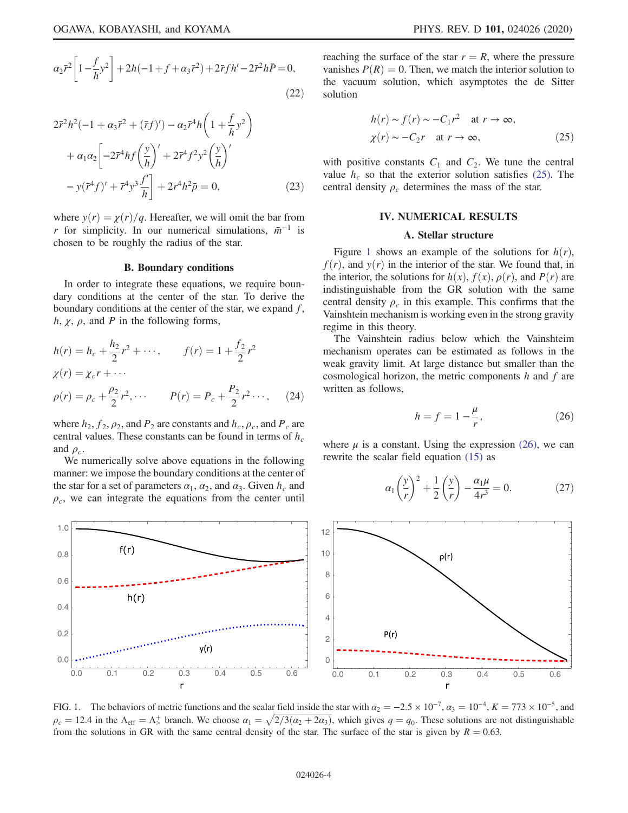$$
2\bar{r}^{2}h^{2}(-1+\alpha_{3}\bar{r}^{2}+(\bar{r}f)')-\alpha_{2}\bar{r}^{4}h\left(1+\frac{f}{h}y^{2}\right) + \alpha_{1}\alpha_{2}\left[-2\bar{r}^{4}hf\left(\frac{y}{h}\right)'+2\bar{r}^{4}f^{2}y^{2}\left(\frac{y}{h}\right)'-y(\bar{r}^{4}f')'+\bar{r}^{4}y^{3}\frac{f'}{h}\right]+2r^{4}h^{2}\bar{\rho}=0,
$$
 (23)

where  $y(r) = \chi(r)/q$ . Hereafter, we will omit the bar from r for simplicity. In our numerical simulations,  $\bar{m}^{-1}$  is chosen to be roughly the radius of the star.

#### B. Boundary conditions

In order to integrate these equations, we require boundary conditions at the center of the star. To derive the boundary conditions at the center of the star, we expand f, h,  $\chi$ ,  $\rho$ , and P in the following forms,

$$
h(r) = h_c + \frac{h_2}{2}r^2 + \cdots, \qquad f(r) = 1 + \frac{f_2}{2}r^2
$$
  
\n
$$
\chi(r) = \chi_c r + \cdots
$$
  
\n
$$
\rho(r) = \rho_c + \frac{\rho_2}{2}r^2, \cdots \qquad P(r) = P_c + \frac{P_2}{2}r^2 \cdots, \qquad (24)
$$

where  $h_2$ ,  $f_2$ ,  $\rho_2$ , and  $P_2$  are constants and  $h_c$ ,  $\rho_c$ , and  $P_c$  are central values. These constants can be found in terms of  $h_c$ and  $\rho_c$ .

We numerically solve above equations in the following manner: we impose the boundary conditions at the center of the star for a set of parameters  $\alpha_1$ ,  $\alpha_2$ , and  $\alpha_3$ . Given  $h_c$  and  $\rho_c$ , we can integrate the equations from the center until <span id="page-3-1"></span>reaching the surface of the star  $r = R$ , where the pressure vanishes  $P(R) = 0$ . Then, we match the interior solution to the vacuum solution, which asymptotes the de Sitter solution

$$
h(r) \sim f(r) \sim -C_1 r^2 \quad \text{at } r \to \infty,
$$
  

$$
\chi(r) \sim -C_2 r \quad \text{at } r \to \infty,
$$
 (25)

<span id="page-3-0"></span>with positive constants  $C_1$  and  $C_2$ . We tune the central value  $h_c$  so that the exterior solution satisfies [\(25\).](#page-3-1) The central density  $\rho_c$  determines the mass of the star.

### IV. NUMERICAL RESULTS

## A. Stellar structure

Figure [1](#page-3-2) shows an example of the solutions for  $h(r)$ ,  $f(r)$ , and  $y(r)$  in the interior of the star. We found that, in the interior, the solutions for  $h(x)$ ,  $f(x)$ ,  $\rho(r)$ , and  $P(r)$  are indistinguishable from the GR solution with the same central density  $\rho_c$  in this example. This confirms that the Vainshtein mechanism is working even in the strong gravity regime in this theory.

<span id="page-3-3"></span>The Vainshtein radius below which the Vainshteim mechanism operates can be estimated as follows in the weak gravity limit. At large distance but smaller than the cosmological horizon, the metric components  $h$  and  $f$  are written as follows,

$$
h = f = 1 - \frac{\mu}{r},\tag{26}
$$

where  $\mu$  is a constant. Using the expression [\(26\)](#page-3-3), we can rewrite the scalar field equation [\(15\)](#page-2-2) as

$$
\alpha_1 \left(\frac{y}{r}\right)^2 + \frac{1}{2} \left(\frac{y}{r}\right) - \frac{\alpha_1 \mu}{4r^3} = 0. \tag{27}
$$

<span id="page-3-2"></span>

FIG. 1. The behaviors of metric functions and the scalar field inside the star with  $\alpha_2 = -2.5 \times 10^{-7}$ ,  $\alpha_3 = 10^{-4}$ ,  $K = 773 \times 10^{-5}$ , and  $\rho_c = 12.4$  in the  $\Lambda_{\text{eff}} = \Lambda_5^+$  branch. We choose  $\alpha_1 = \sqrt{2/3(\alpha_2 + 2\alpha_3)}$ , which gives  $q = q_0$ . These solutions are not distinguishable from the solutions in GR with the same central density of the star. The surface of the star is given by  $R = 0.63$ .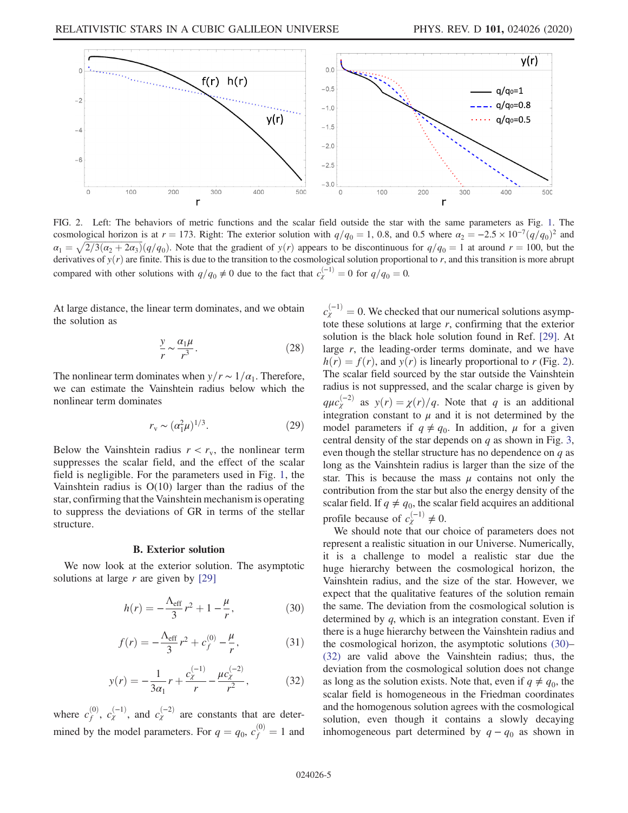<span id="page-4-0"></span>

FIG. 2. Left: The behaviors of metric functions and the scalar field outside the star with the same parameters as Fig. [1.](#page-3-2) The cosmological horizon is at  $r = 173$ . Right: The exterior solution with  $q/q_0 = 1$ , 0.8, and 0.5 where  $\alpha_2 = -2.5 \times 10^{-7} (q/q_0)^2$  and  $\alpha_1 = \sqrt{2/3}(\alpha_2 + 2\alpha_3)(q/q_0)$ . Note that the gradient of  $y(r)$  appears to be discontinuous for  $q/q_0 = 1$  at around  $r = 100$ , but the derivatives of  $y(r)$  are finite. This is due to the transition to the cosmological solution proportional to r, and this transition is more abrupt compared with other solutions with  $q/q_0 \neq 0$  due to the fact that  $c_{\chi}^{(-1)} = 0$  for  $q/q_0 = 0$ .

At large distance, the linear term dominates, and we obtain the solution as

$$
\frac{y}{r} \sim \frac{\alpha_1 \mu}{r^3}.
$$
 (28)

The nonlinear term dominates when  $y/r \sim 1/\alpha_1$ . Therefore, we can estimate the Vainshtein radius below which the nonlinear term dominates

$$
r_{\rm v} \sim (\alpha_1^2 \mu)^{1/3}.
$$
 (29)

Below the Vainshtein radius  $r < r<sub>v</sub>$ , the nonlinear term suppresses the scalar field, and the effect of the scalar field is negligible. For the parameters used in Fig. [1](#page-3-2), the Vainshtein radius is O(10) larger than the radius of the star, confirming that the Vainshtein mechanism is operating to suppress the deviations of GR in terms of the stellar structure.

### B. Exterior solution

<span id="page-4-1"></span>We now look at the exterior solution. The asymptotic solutions at large  $r$  are given by [\[29\]](#page-6-16)

$$
h(r) = -\frac{\Lambda_{\rm eff}}{3}r^2 + 1 - \frac{\mu}{r},
$$
 (30)

$$
f(r) = -\frac{\Lambda_{\rm eff}}{3}r^2 + c_f^{(0)} - \frac{\mu}{r},
$$
 (31)

$$
y(r) = -\frac{1}{3\alpha_1}r + \frac{c_{\chi}^{(-1)}}{r} - \frac{\mu c_{\chi}^{(-2)}}{r^2},
$$
 (32)

<span id="page-4-2"></span>where  $c_f^{(0)}$ ,  $c_\chi^{(-1)}$ , and  $c_\chi^{(-2)}$  are constants that are determined by the model parameters. For  $q = q_0$ ,  $c_f^{(0)} = 1$  and

 $c_{\chi}^{(-1)} = 0$ . We checked that our numerical solutions asymptote these solutions at large  $r$ , confirming that the exterior solution is the black hole solution found in Ref. [\[29\]](#page-6-16). At large  $r$ , the leading-order terms dominate, and we have  $h(r) = f(r)$ , and  $y(r)$  is linearly proportional to r (Fig. [2\)](#page-4-0). The scalar field sourced by the star outside the Vainshtein radius is not suppressed, and the scalar charge is given by  $q\mu c_{\chi}^{(-2)}$  as  $y(r) = \chi(r)/q$ . Note that q is an additional integration constant to  $\mu$  and it is not determined by the model parameters if  $q \neq q_0$ . In addition,  $\mu$  for a given central density of the star depends on  $q$  as shown in Fig. [3](#page-5-4), even though the stellar structure has no dependence on  $q$  as long as the Vainshtein radius is larger than the size of the star. This is because the mass  $\mu$  contains not only the contribution from the star but also the energy density of the scalar field. If  $q \neq q_0$ , the scalar field acquires an additional profile because of  $c_{\chi}^{(-1)} \neq 0$ .

We should note that our choice of parameters does not represent a realistic situation in our Universe. Numerically, it is a challenge to model a realistic star due the huge hierarchy between the cosmological horizon, the Vainshtein radius, and the size of the star. However, we expect that the qualitative features of the solution remain the same. The deviation from the cosmological solution is determined by q, which is an integration constant. Even if there is a huge hierarchy between the Vainshtein radius and the cosmological horizon, the asymptotic solutions [\(30\)](#page-4-1)– [\(32\)](#page-4-2) are valid above the Vainshtein radius; thus, the deviation from the cosmological solution does not change as long as the solution exists. Note that, even if  $q \neq q_0$ , the scalar field is homogeneous in the Friedman coordinates and the homogenous solution agrees with the cosmological solution, even though it contains a slowly decaying inhomogeneous part determined by  $q - q_0$  as shown in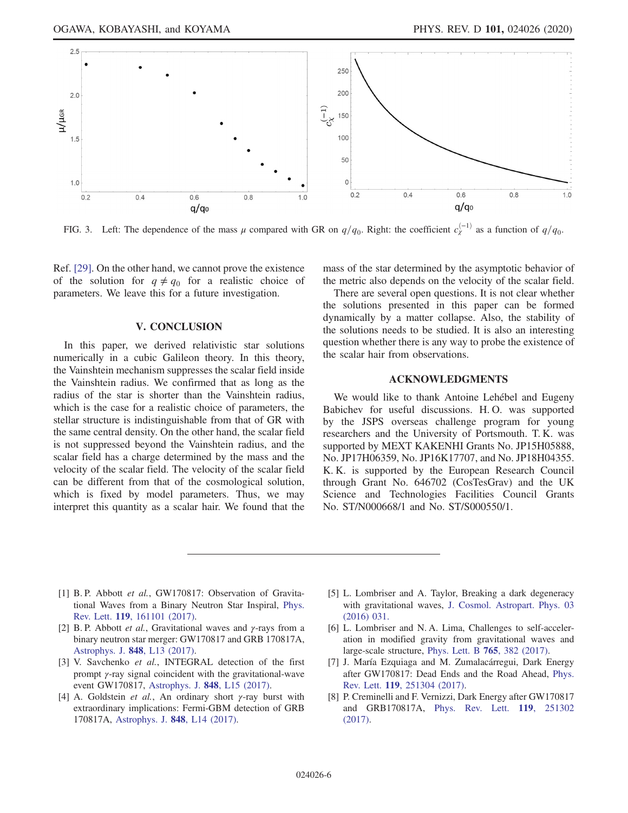<span id="page-5-4"></span>

FIG. 3. Left: The dependence of the mass  $\mu$  compared with GR on  $q/q_0$ . Right: the coefficient  $c_{\chi}^{(-1)}$  as a function of  $q/q_0$ .

Ref. [\[29\]](#page-6-16). On the other hand, we cannot prove the existence of the solution for  $q \neq q_0$  for a realistic choice of parameters. We leave this for a future investigation.

## V. CONCLUSION

<span id="page-5-3"></span>In this paper, we derived relativistic star solutions numerically in a cubic Galileon theory. In this theory, the Vainshtein mechanism suppresses the scalar field inside the Vainshtein radius. We confirmed that as long as the radius of the star is shorter than the Vainshtein radius, which is the case for a realistic choice of parameters, the stellar structure is indistinguishable from that of GR with the same central density. On the other hand, the scalar field is not suppressed beyond the Vainshtein radius, and the scalar field has a charge determined by the mass and the velocity of the scalar field. The velocity of the scalar field can be different from that of the cosmological solution, which is fixed by model parameters. Thus, we may interpret this quantity as a scalar hair. We found that the mass of the star determined by the asymptotic behavior of the metric also depends on the velocity of the scalar field.

There are several open questions. It is not clear whether the solutions presented in this paper can be formed dynamically by a matter collapse. Also, the stability of the solutions needs to be studied. It is also an interesting question whether there is any way to probe the existence of the scalar hair from observations.

## ACKNOWLEDGMENTS

We would like to thank Antoine Lehebel and Eugeny Babichev for useful discussions. H. O. was supported by the JSPS overseas challenge program for young researchers and the University of Portsmouth. T. K. was supported by MEXT KAKENHI Grants No. JP15H05888, No. JP17H06359, No. JP16K17707, and No. JP18H04355. K. K. is supported by the European Research Council through Grant No. 646702 (CosTesGrav) and the UK Science and Technologies Facilities Council Grants No. ST/N000668/1 and No. ST/S000550/1.

- <span id="page-5-0"></span>[1] B. P. Abbott et al., GW170817: Observation of Gravitational Waves from a Binary Neutron Star Inspiral, [Phys.](https://doi.org/10.1103/PhysRevLett.119.161101) Rev. Lett. 119[, 161101 \(2017\).](https://doi.org/10.1103/PhysRevLett.119.161101)
- <span id="page-5-1"></span>[2] B. P. Abbott *et al.*, Gravitational waves and  $\gamma$ -rays from a binary neutron star merger: GW170817 and GRB 170817A, [Astrophys. J.](https://doi.org/10.3847/2041-8213/aa920c) 848, L13 (2017).
- [3] V. Savchenko et al., INTEGRAL detection of the first prompt γ-ray signal coincident with the gravitational-wave event GW170817, [Astrophys. J.](https://doi.org/10.3847/2041-8213/aa8f94) 848, L15 (2017).
- [4] A. Goldstein *et al.*, An ordinary short  $\gamma$ -ray burst with extraordinary implications: Fermi-GBM detection of GRB 170817A, [Astrophys. J.](https://doi.org/10.3847/2041-8213/aa8f41) 848, L14 (2017).
- <span id="page-5-2"></span>[5] L. Lombriser and A. Taylor, Breaking a dark degeneracy with gravitational waves, [J. Cosmol. Astropart. Phys. 03](https://doi.org/10.1088/1475-7516/2016/03/031) [\(2016\) 031.](https://doi.org/10.1088/1475-7516/2016/03/031)
- [6] L. Lombriser and N. A. Lima, Challenges to self-acceleration in modified gravity from gravitational waves and large-scale structure, [Phys. Lett. B](https://doi.org/10.1016/j.physletb.2016.12.048) 765, 382 (2017).
- [7] J. María Ezquiaga and M. Zumalacárregui, Dark Energy after GW170817: Dead Ends and the Road Ahead, [Phys.](https://doi.org/10.1103/PhysRevLett.119.251304) Rev. Lett. 119[, 251304 \(2017\).](https://doi.org/10.1103/PhysRevLett.119.251304)
- [8] P. Creminelli and F. Vernizzi, Dark Energy after GW170817 and GRB170817A, [Phys. Rev. Lett.](https://doi.org/10.1103/PhysRevLett.119.251302) 119, 251302 [\(2017\).](https://doi.org/10.1103/PhysRevLett.119.251302)